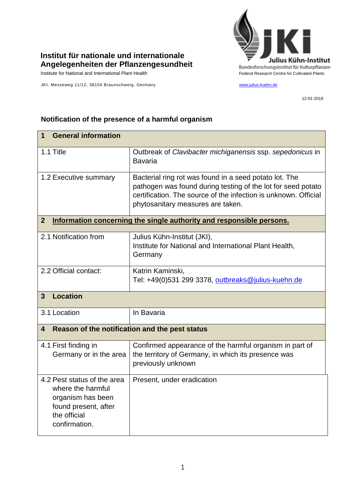

## **Institut für nationale und internationale Angelegenheiten der Pflanzengesundheit**

Institute for National and International Plant Health Feature And Theorem Federal Research Centre for Cultivated Plants

JKI, Messeweg 11/12, 38104 Braunschweig, Germany [www.julius-kuehn.de](http://www.julius-kuehn.de/)

12-01-2018

## **1 General information** 1.1 Title Outbreak of *Clavibacter michiganensis* ssp. *sepedonicus* in Bavaria 1.2 Executive summary | Bacterial ring rot was found in a seed potato lot. The pathogen was found during testing of the lot for seed potato certification. The source of the infection is unknown. Official phytosanitary measures are taken. **2 Information concerning the single authority and responsible persons.** 2.1 Notification from Julius Kühn-Institut (JKI), Institute for National and International Plant Health, **Germany** 2.2 Official contact: Katrin Kaminski, Tel: +49(0)531 299 3378, [outbreaks@julius-kuehn.de](mailto:outbreaks@julius-kuehn.de) **3 Location**  3.1 Location In Bavaria **4 Reason of the notification and the pest status** 4.1 First finding in Germany or in the area Confirmed appearance of the harmful organism in part of the territory of Germany, in which its presence was previously unknown 4.2 Pest status of the area where the harmful organism has been found present, after the official confirmation. Present, under eradication

## **Notification of the presence of a harmful organism**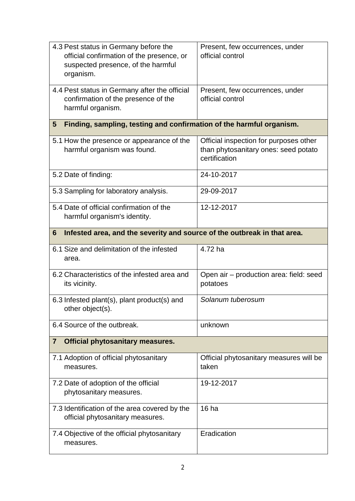| 4.3 Pest status in Germany before the<br>official confirmation of the presence, or<br>suspected presence, of the harmful<br>organism. | Present, few occurrences, under<br>official control                                             |  |
|---------------------------------------------------------------------------------------------------------------------------------------|-------------------------------------------------------------------------------------------------|--|
| 4.4 Pest status in Germany after the official<br>confirmation of the presence of the<br>harmful organism.                             | Present, few occurrences, under<br>official control                                             |  |
| Finding, sampling, testing and confirmation of the harmful organism.<br>$5\phantom{.0}$                                               |                                                                                                 |  |
| 5.1 How the presence or appearance of the<br>harmful organism was found.                                                              | Official inspection for purposes other<br>than phytosanitary ones: seed potato<br>certification |  |
| 5.2 Date of finding:                                                                                                                  | 24-10-2017                                                                                      |  |
| 5.3 Sampling for laboratory analysis.                                                                                                 | 29-09-2017                                                                                      |  |
| 5.4 Date of official confirmation of the<br>harmful organism's identity.                                                              | 12-12-2017                                                                                      |  |
| Infested area, and the severity and source of the outbreak in that area.<br>6                                                         |                                                                                                 |  |
| 6.1 Size and delimitation of the infested<br>area.                                                                                    | 4.72 ha                                                                                         |  |
| 6.2 Characteristics of the infested area and<br>its vicinity.                                                                         | Open air - production area: field: seed<br>potatoes                                             |  |
| 6.3 Infested plant(s), plant product(s) and<br>other object(s).                                                                       | Solanum tuberosum                                                                               |  |
| 6.4 Source of the outbreak.                                                                                                           | unknown                                                                                         |  |
| <b>Official phytosanitary measures.</b><br>$\overline{\mathbf{7}}$                                                                    |                                                                                                 |  |
| 7.1 Adoption of official phytosanitary<br>measures.                                                                                   | Official phytosanitary measures will be<br>taken                                                |  |
| 7.2 Date of adoption of the official<br>phytosanitary measures.                                                                       | 19-12-2017                                                                                      |  |
| 7.3 Identification of the area covered by the<br>official phytosanitary measures.                                                     | 16 <sub>ha</sub>                                                                                |  |
| 7.4 Objective of the official phytosanitary                                                                                           |                                                                                                 |  |